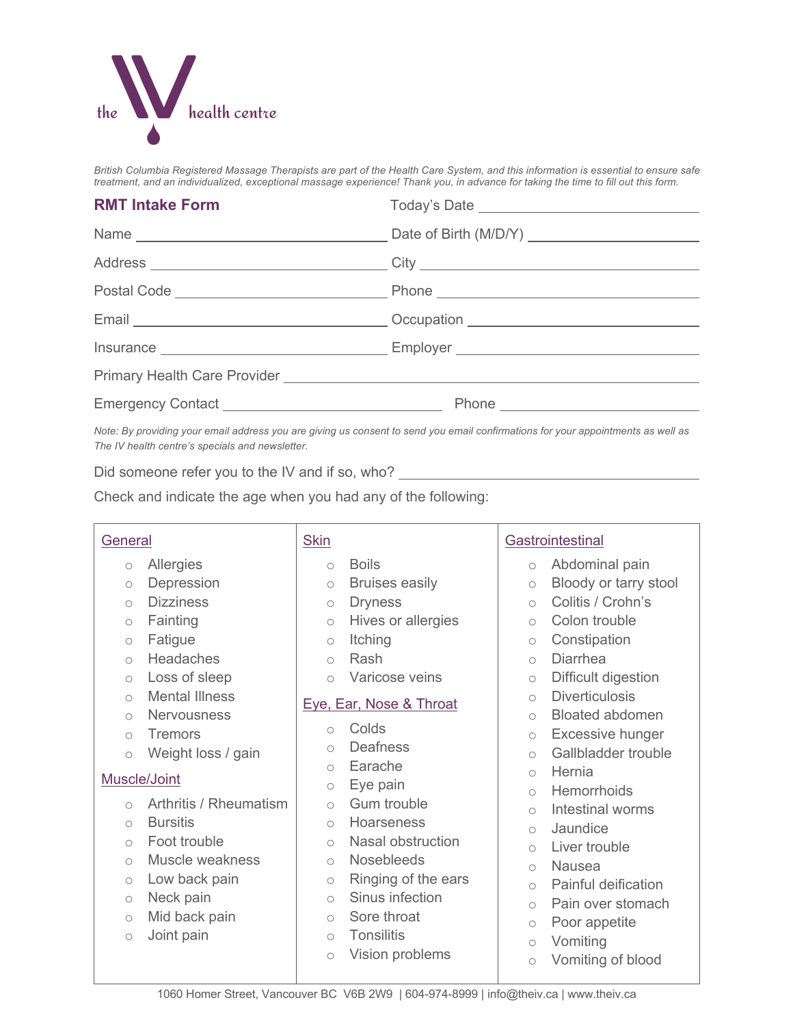

*British Columbia Registered Massage Therapists are part of the Health Care System, and this information is essential to ensure safe treatment, and an individualized, exceptional massage experience! Thank you, in advance for taking the time to fill out this form.*

# **RMT Intake Form** Today's Date

*Note: By providing your email address you are giving us consent to send you email confirmations for your appointments as well as The IV health centre's specials and newsletter.*

Did someone refer you to the IV and if so, who?

Check and indicate the age when you had any of the following:

| General             |                  |  |
|---------------------|------------------|--|
| $\circlearrowright$ | Allergies        |  |
| $\circ$             | Depression       |  |
| $\bigcap$           | <b>Dizziness</b> |  |
| $\circ$             | Fainting         |  |
|                     |                  |  |

- o Fatigue
- o Headaches
- o Loss of sleep
- o Mental Illness
- o Nervousness
- o Tremors
- o Weight loss / gain

## Muscle/Joint

- o Arthritis / Rheumatism
- o Bursitis
- o Foot trouble
- o Muscle weakness
- o Low back pain
- o Neck pain
- o Mid back pain
- o Joint pain

# **Skin** o Boils

- o Bruises easily
- 
- o Dryness
- o Hives or allergies
- o Itching
- o Rash
- o Varicose veins

## Eye, Ear, Nose & Throat

- o Colds
- o Deafness
- o Earache
- o Eye pain
- o Gum trouble
- o Hoarseness
- o Nasal obstruction
- o Nosebleeds
- o Ringing of the ears
- o Sinus infection
- o Sore throat
- o Tonsilitis
- o Vision problems

## **Gastrointestinal**

- o Abdominal pain
- o Bloody or tarry stool
- o Colitis / Crohn's
- o Colon trouble
- o Constipation
- o Diarrhea
- o Difficult digestion
- o Diverticulosis
- o Bloated abdomen
- o Excessive hunger
- o Gallbladder trouble
- o Hernia
- o Hemorrhoids
- o Intestinal worms
- o Jaundice
- o Liver trouble
- o Nausea
- o Painful deification
- o Pain over stomach
- o Poor appetite
- o Vomiting
- o Vomiting of blood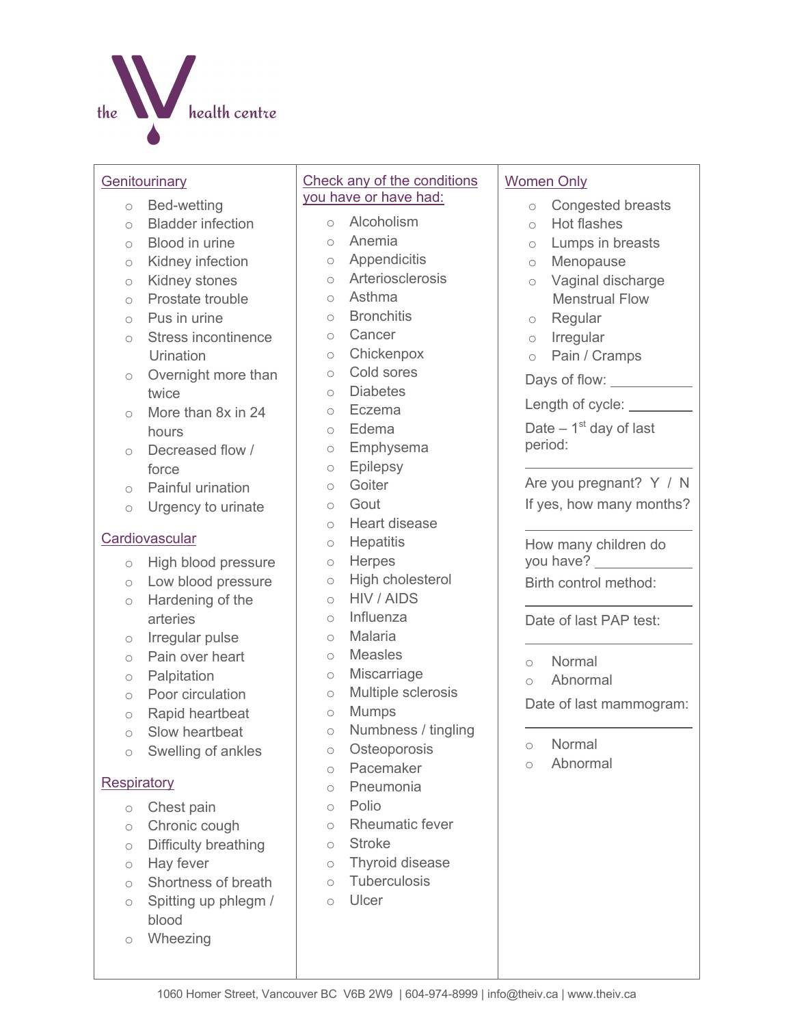

#### **Genitourinary**

- o Bed-wetting
- o Bladder infection
- o Blood in urine
- o Kidney infection
- o Kidney stones
- o Prostate trouble
- $\circ$  Pus in urine
- o Stress incontinence Urination
- o Overnight more than twice
- o More than 8x in 24 hours
- o Decreased flow / force
- o Painful urination
- o Urgency to urinate

## **Cardiovascular**

- o High blood pressure
- o Low blood pressure
- o Hardening of the arteries
- o Irregular pulse
- o Pain over heart
- o Palpitation
- o Poor circulation
- o Rapid heartbeat
- o Slow heartbeat
- o Swelling of ankles

# **Respiratory**

- o Chest pain
- o Chronic cough
- o Difficulty breathing
- o Hay fever
- o Shortness of breath
- o Spitting up phlegm / blood
- o Wheezing

# Check any of the conditions you have or have had:

- o Alcoholism
- o Anemia
- o Appendicitis
- o Arteriosclerosis
- o Asthma
- o Bronchitis
- o Cancer
- o Chickenpox
- o Cold sores
- o Diabetes
- o Eczema
- o Edema
- o Emphysema
- o Epilepsy
- o Goiter
- o Gout
- o Heart disease
- o Hepatitis
- o Herpes
- o High cholesterol
- o HIV / AIDS
- o Influenza
- o Malaria
- o Measles
- o Miscarriage
- o Multiple sclerosis
- o Mumps
- o Numbness / tingling
- o Osteoporosis
- o Pacemaker
- o Pneumonia
- o Polio
- o Rheumatic fever
- o Stroke
- o Thyroid disease
- o Tuberculosis
- o Ulcer

## Women Only

- o Congested breasts
- o Hot flashes
- o Lumps in breasts
- o Menopause
- o Vaginal discharge Menstrual Flow
- o Regular
- o Irregular
- o Pain / Cramps
- Days of flow: \_\_\_\_\_\_\_\_\_\_

Length of cycle:

Date  $-1<sup>st</sup>$  day of last period:

Are you pregnant? Y / N If yes, how many months?

How many children do you have? \_\_\_\_\_\_\_\_ Birth control method:

Date of last PAP test:

- o Normal
- o Abnormal

Date of last mammogram:

- o Normal
- o Abnormal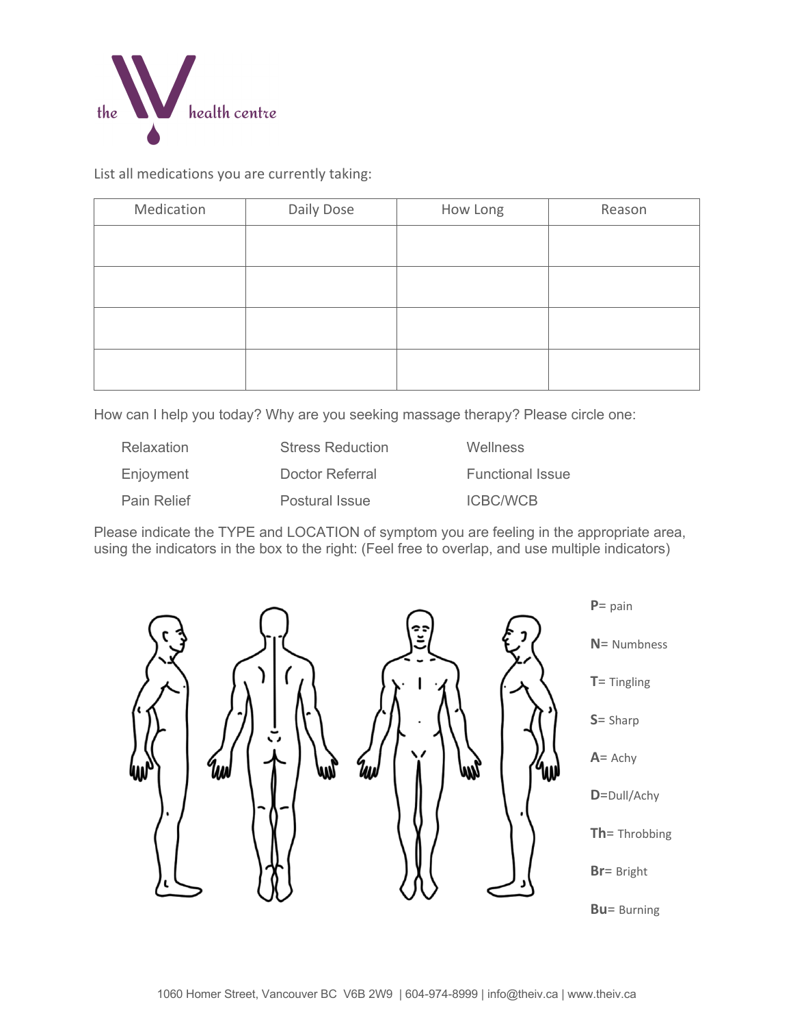

List all medications you are currently taking:

| Medication | Daily Dose | How Long | Reason |
|------------|------------|----------|--------|
|            |            |          |        |
|            |            |          |        |
|            |            |          |        |
|            |            |          |        |
|            |            |          |        |
|            |            |          |        |
|            |            |          |        |

How can I help you today? Why are you seeking massage therapy? Please circle one:

| Relaxation         | <b>Stress Reduction</b> | <b>Wellness</b>         |
|--------------------|-------------------------|-------------------------|
| Enjoyment          | Doctor Referral         | <b>Functional Issue</b> |
| <b>Pain Relief</b> | Postural Issue          | <b>ICBC/WCB</b>         |

Please indicate the TYPE and LOCATION of symptom you are feeling in the appropriate area, using the indicators in the box to the right: (Feel free to overlap, and use multiple indicators)

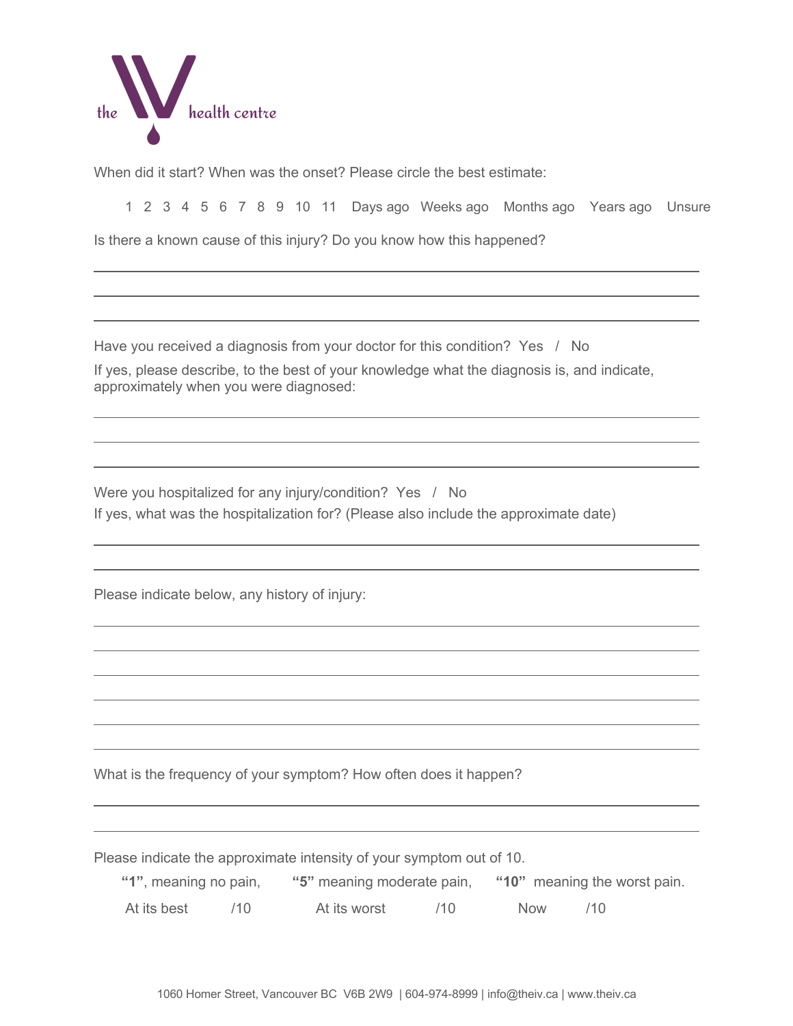

When did it start? When was the onset? Please circle the best estimate:

1 2 3 4 5 6 7 8 9 10 11 Days ago Weeks ago Months ago Years ago Unsure

Is there a known cause of this injury? Do you know how this happened?

Have you received a diagnosis from your doctor for this condition? Yes / No

If yes, please describe, to the best of your knowledge what the diagnosis is, and indicate, approximately when you were diagnosed:

Were you hospitalized for any injury/condition? Yes / No If yes, what was the hospitalization for? (Please also include the approximate date)

Please indicate below, any history of injury:

What is the frequency of your symptom? How often does it happen?

Please indicate the approximate intensity of your symptom out of 10.

| "1", meaning no pain, |  |              | "5" meaning moderate pain, |            | "10" meaning the worst pain. |  |
|-----------------------|--|--------------|----------------------------|------------|------------------------------|--|
| At its best           |  | At its worst | (10)                       | <b>Now</b> | (10)                         |  |